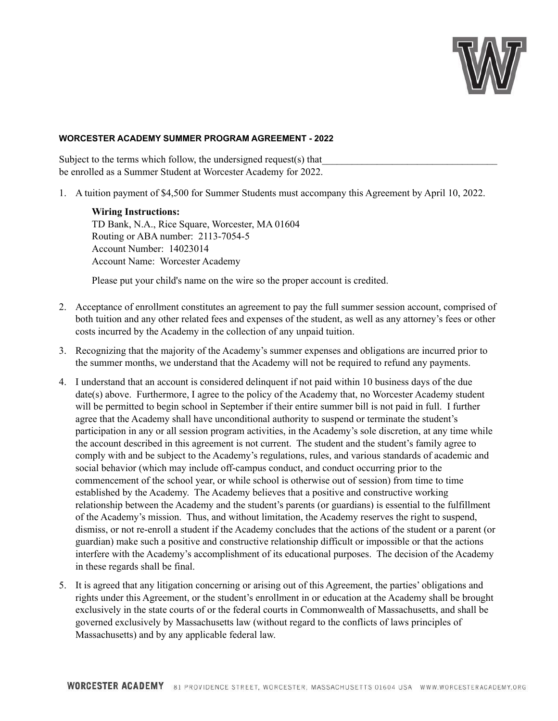

## **WORCESTER ACADEMY SUMMER PROGRAM AGREEMENT - 2022**

Subject to the terms which follow, the undersigned request(s) that be enrolled as a Summer Student at Worcester Academy for 2022.

1. A tuition payment of \$4,500 for Summer Students must accompany this Agreement by April 10, 2022.

**Wiring Instructions:** TD Bank, N.A., Rice Square, Worcester, MA 01604 Routing or ABA number: 2113-7054-5 Account Number: 14023014 Account Name: Worcester Academy

Please put your child's name on the wire so the proper account is credited.

- 2. Acceptance of enrollment constitutes an agreement to pay the full summer session account, comprised of both tuition and any other related fees and expenses of the student, as well as any attorney's fees or other costs incurred by the Academy in the collection of any unpaid tuition.
- 3. Recognizing that the majority of the Academy's summer expenses and obligations are incurred prior to the summer months, we understand that the Academy will not be required to refund any payments.
- 4. I understand that an account is considered delinquent if not paid within 10 business days of the due date(s) above. Furthermore, I agree to the policy of the Academy that, no Worcester Academy student will be permitted to begin school in September if their entire summer bill is not paid in full. I further agree that the Academy shall have unconditional authority to suspend or terminate the student's participation in any or all session program activities, in the Academy's sole discretion, at any time while the account described in this agreement is not current. The student and the student's family agree to comply with and be subject to the Academy's regulations, rules, and various standards of academic and social behavior (which may include off-campus conduct, and conduct occurring prior to the commencement of the school year, or while school is otherwise out of session) from time to time established by the Academy. The Academy believes that a positive and constructive working relationship between the Academy and the student's parents (or guardians) is essential to the fulfillment of the Academy's mission. Thus, and without limitation, the Academy reserves the right to suspend, dismiss, or not re-enroll a student if the Academy concludes that the actions of the student or a parent (or guardian) make such a positive and constructive relationship difficult or impossible or that the actions interfere with the Academy's accomplishment of its educational purposes. The decision of the Academy in these regards shall be final.
- 5. It is agreed that any litigation concerning or arising out of this Agreement, the parties' obligations and rights under this Agreement, or the student's enrollment in or education at the Academy shall be brought exclusively in the state courts of or the federal courts in Commonwealth of Massachusetts, and shall be governed exclusively by Massachusetts law (without regard to the conflicts of laws principles of Massachusetts) and by any applicable federal law.